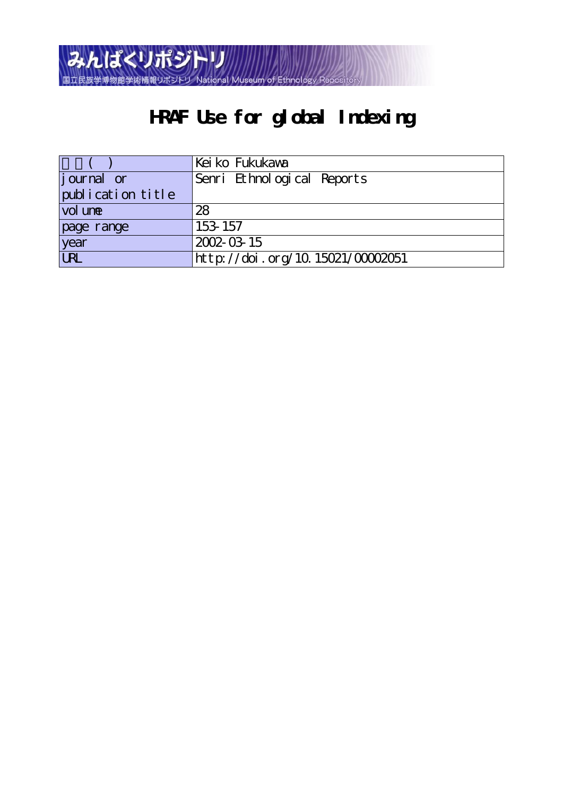

# **HRAF Use for global Indexing**

|                   | Kei ko Fukukawa                  |
|-------------------|----------------------------------|
| journal or        | Senri Ethnological Reports       |
| publication title |                                  |
| vol une           | 28                               |
| page range        | 153 157                          |
| year              | 2002-03-15                       |
| <b>URL</b>        | http://doi.org/10.15021/00002051 |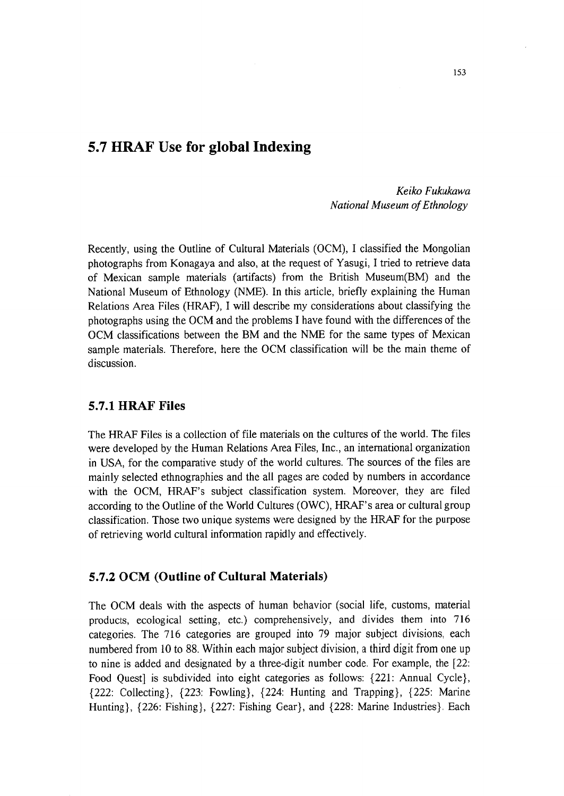## 5.7 HRAF Use for global Indexing

 Keiko Fukukawa National Museum of Ethnology

Recently, using the Outline of Cultural Materials (OCM), I classified the Mongolian photographs from Konagaya and also, at the request of Yasugi, I tried to retrieve data of Mexican sample materials (artifacts) from the British Museum(BM) and the National Museum of Ethnology (NME). In this article, briefly explaining the Human Relations Area Files (HRAF), I will describe my considerations about classifying the photographs using the OCM and the problems I have found with the differences of the OCM classifications between the BM and the NME for the same types of Mexican sample materials. Therefore, here the OCM classification will be the main theme of discussion.

#### 5.7.1 HRAF Files

The HRAF Files is a collection of file materials on the cultures of the world. The files were developed by the Human Relations Area Files, Inc., an intemational organization in USA, for the comparative study of the world cultures. The sources of the files are mainly selected ethnographies and the all pages are coded by numbers in accordance with the OCM, HRAF's subject classification system. Moreover, they are filed according to the Outline of the World Cultures (OWC), HRAF's area or cultural group classification. Those two unique systems were designed by the HRAF for the purpose of retrieving world cultural information rapidly and effectively.

#### 5.7.2 OCM (Outline of Cultural Materials)

The OCM deals with the aspects of human behavior (social life, customs, material products, ecological setting, etc.) comprehensively, and divides them into 716 categories. The 716 categories are grouped into 79 major subject divisions, each numbered from 10 to 88. Within each major subject division, a third digit from one up to nine is added and designated by a three-digit number code, For example, the [22: Food Quest] is subdivided into eight categories as follows: {221: Annual Cycle}, {222: Collecting}, {223: Fowling}, {224: Hunting and Trapping}, {225: Marine Hunting}, {226: Fishing}, {227: Fishing Gear}, and {228: Marine Industries}, Each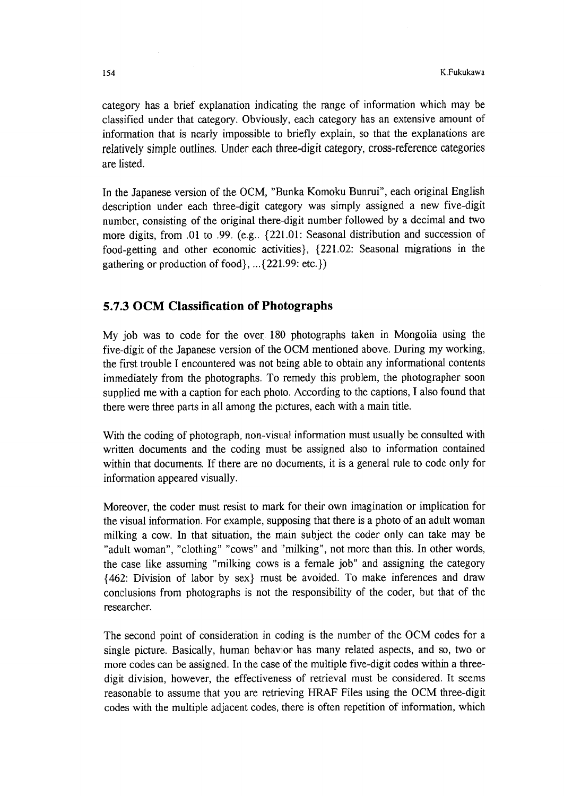category has a brief explanation indicating the range of information which may be classified under that category. Obviously, each category has an extensive amount of information that is nearly impossible to briefly explain, so that the explanations are relatively simple outlines. Under each three-digit category, cross-reference categories are listed.

In the Japanese version of the OCM, "Bunka Komoku Bunrui", each original English description under each three-digit category was simply assigned a new five-digit number, consisting of the original there-digit number followed by a decimal and two more digits, from .Ol to .99. (e.g.. {221.01: Seasonal distribution and succession of food-getting and other economic activities}, {221.02: Seasonal migrations in the gathering or production of food $\{...$  {221.99: etc.})

## 5.7.3 OCM CIassification of Photographs

My job was to code for the over, 180 photographs taken in Mongolia using the five-digit of the Japanese version of the OCM mentioned above. During my working, the first trouble I enceuntered was not being able to obtain any informational contents immediately from the photographs. To remedy this problem, the photographer soon supplied me with a caption for each photo. According to the captions, I also found that there were three parts in all among the pictures, each with a main title.

With the coding of photograph, non-visual information must usually be consulted with written documents and the coding must be assigned also to information contained within that documents. If there are no documents, it is a general rule to code only for information appeared visually.

Moreover, the coder must resist to mark for their own imagination or implication for the visual information. For example, supposing that there is a photo of an adult woman milking a cow. In that situation, the main subject the coder only can take may be "adult woman", "clothing" "cows" and "milking", not more than this. In other words, the case Iike assuming "milking cows is a female job" and assigning the category {462: Division of labor by sex} must be avoided. To make inferences and draw conclusions from photographs is not the responsibility of the coder, but that of the researcher.

The second point of consideration in coding is the number of the OCM codes for a single picture. Basically, human behavior has many related aspects, and so, two or more codes can be assigned. In the case of the multiple five-digit codes withjn a threedigit division, however, the effectiveness of retrieval must be considered. It seems reasonable to assume that you are retrieving HRAF Files using the OCM three-digit codes with the multiple adjacent codes, there is often repetition of information, which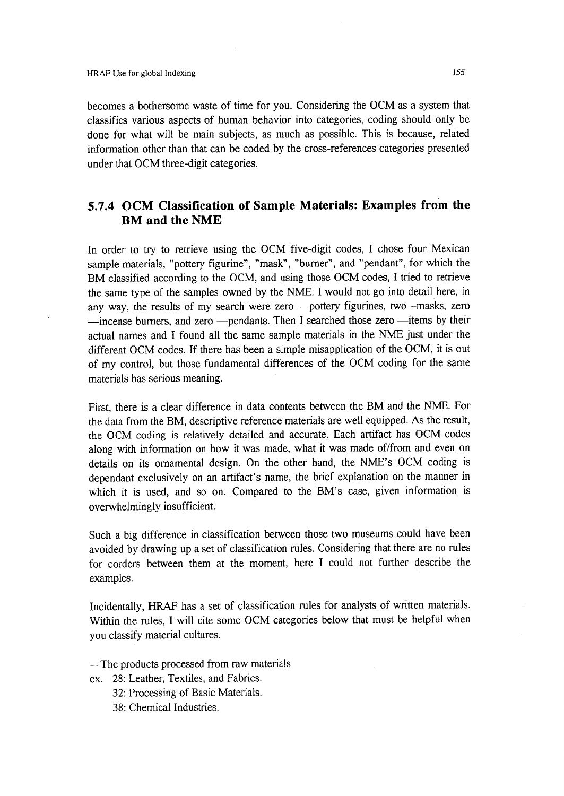becomes a bothersome waste of time for you. Considering the OCM as a system that classifies various aspects of human behavior into categories, coding should only be done for what will be main subjects, as much as possible. This is because, related information other than that can be coded by the cross-references categories presented under that OCM three-digit categories.

## 5.7.4 OCM CIassification of Sample Materials: Examples from the BM and the NME

In order to try to retrieve using the OCM five-digit codes, I chose four Mexican sample materials, "pottery figurine", "mask", "burner", and "pendant", for which the BM classified according to the OCM, and using those OCM codes, I tried to retrieve the same type of the samples owned by the NME. I would not go into detail here, in any way, the results of my search were zero ---pottery figurines, two --masks, zero -incense burners, and zero - pendants. Then I searched those zero - items by their actual names and I found all the same sample materials in the NME just under the different OCM codes. If there has been a simple misapplication of the OCM, it is out of my control, but those fundamental differences of the OCM coding for the same materials has serious meaning.

First, there is a clear difference in data contents between the BM and the NME. For the data from the BM, descriptive reference materiais are well equipped. As the result, the OCM coding is relatively detailed and accurate. Each anifact has OCM codes along with information on how it was made, what it was made of/from and even on details on its ornamental design. On the other hand, the NME's OCM coding is dependant exclusively on an anifact's name, the brief explanation on the manner in which it is used, and so on. Compared to the BM's case, given information is overwhelmingly insufficient.

Such a big difference in classification between those two museums could have been avoided by drawing up a set of classification rules. Considering that there are no rules for corders between them at the moment, here I could not further describe the exampies.

Incidentally, HRAF has a set of classification rules for analysts of written materials. Within the rules, I will cite some OCM categories below that must be helpful when you classify material cultures.

- -The products processed from raw materials
- ex. 28: Leather, Textiles, and Fabrics.
	- 32: Processing of Basic Materials.
	- 38: Chemical Industries.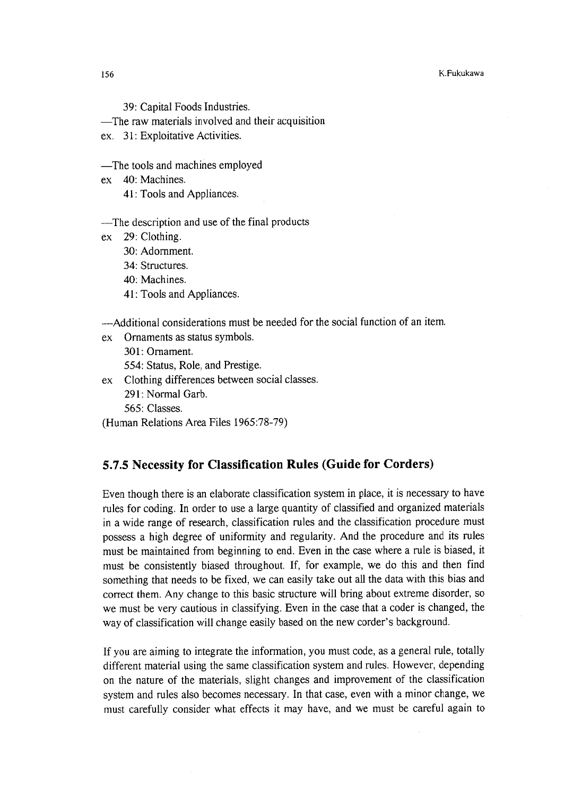39: Capital Foods Industries.

-The raw materials involved and their acquisition

 $ex$  31: Exploitative Activities.

-The tools and machines employed

ex 40: Machines.

41: Tools and Appliances.

-The description and use of th e final products

- ex 29:Clothing.
	- 30: Adornment,

34: Structures.

- 40: Machines.
- 41: Tools and Appliances.

-Additional considerations must be needed for the social function of an item.

ex Ornaments as status symbols. 301: Omament. 554: Status, Role, and Prestige.

ex Clothing differences between social classes. 291: Normal Garb. 565: Classes.

(Human Relations Area Files 1965:78-79)

## 5.7.5 Necessity for Classification Rules (Guide for Corders)

Even though there is an elaborate classification system in place, it is necessary to have rules for coding, In order to use a large quantity of classified and organized materials in a wide range of research, classification rules and the classification procedure must possess a high degree of uniformity and regularity. And the procedure and its rules must be maintained from beginning to end. Even in the case where a rule is biased, it must be consistently biased throughout. If, for example, we do this and then find something that needs to be fixed, we can easily take out all the data with this bias and correct them. Any change to this basic structure will bring about extreme disorder, so we must be very cautious in classifying, Even in the case that a coder is changed, the way of classification will change easily based on the new corder's background.

If you are aiming to integrate the information, you must code, as a general rule, totally different material using the same classification system and rules. However, depending on the nature of the materiais, slight changes and improvement of the classification system and rules also becomes necessary. In that case, even with a minor change, we must carefully consider what effects it may have, and we must be careful again to